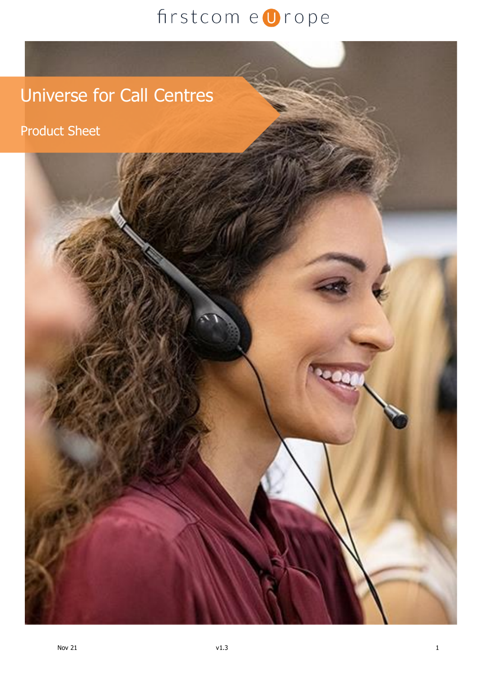## Universe for Call Centres

Product Sheet

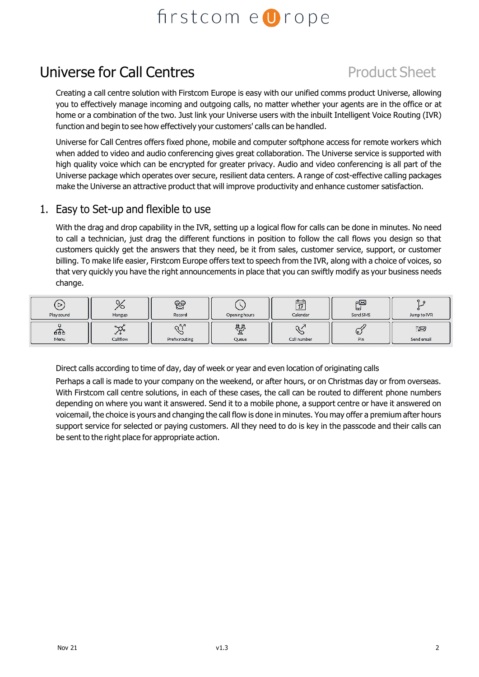## Universe for Call Centres **Product Sheet**

Creating a call centre solution with Firstcom Europe is easy with our unified comms product Universe, allowing you to effectively manage incoming and outgoing calls, no matter whether your agents are in the office or at home or a combination of the two. Just link your Universe users with the inbuilt Intelligent Voice Routing (IVR) function and begin to see how effectively your customers' calls can be handled.

Universe for Call Centres offers fixed phone, mobile and computer softphone access for remote workers which when added to video and audio conferencing gives great collaboration. The Universe service is supported with high quality voice which can be encrypted for greater privacy. Audio and video conferencing is all part of the Universe package which operates over secure, resilient data centers. A range of cost-effective calling packages make the Universe an attractive product that will improve productivity and enhance customer satisfaction.

#### 1. Easy to Set-up and flexible to use

With the drag and drop capability in the IVR, setting up a logical flow for calls can be done in minutes. No need to call a technician, just drag the different functions in position to follow the call flows you design so that customers quickly get the answers that they need, be it from sales, customer service, support, or customer billing. To make life easier, Firstcom Europe offers text to speech from the IVR, along with a choice of voices, so that very quickly you have the right announcements in place that you can swiftly modify as your business needs change.

| ⊵<br>Play sound | Hangup                    | ၉၀<br>Record           | Opening hours   | $n - n$<br>17<br>Calendar | F⊠<br>ᄆ<br>Send SMS | Jump to IVR      |
|-----------------|---------------------------|------------------------|-----------------|---------------------------|---------------------|------------------|
| 品<br>Menu       | $\sim$<br>ፈ የ<br>Callflow | - 52<br>Prefix routing | 용<br>௨<br>Queue | Call number               | ڡ<br>Pin            | EØ<br>Send email |

Direct calls according to time of day, day of week or year and even location of originating calls

Perhaps a call is made to your company on the weekend, or after hours, or on Christmas day or from overseas. With Firstcom call centre solutions, in each of these cases, the call can be routed to different phone numbers depending on where you want it answered. Send it to a mobile phone, a support centre or have it answered on voicemail, the choice is yours and changing the call flow is done in minutes. You may offer a premium after hours support service for selected or paying customers. All they need to do is key in the passcode and their calls can be sent to the right place for appropriate action.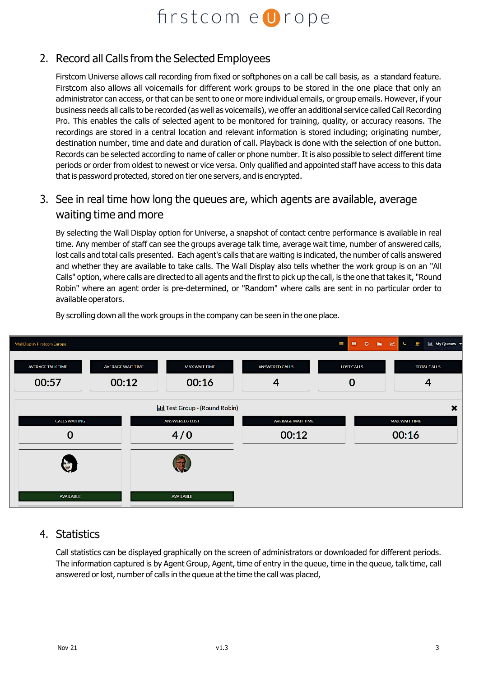### 2. Record all Calls from the Selected Employees

Firstcom Universe allows call recording from fixed or softphones on a call be call basis, as a standard feature. Firstcom also allows all voicemails for different work groups to be stored in the one place that only an administrator can access, or that can be sent to one or more individual emails, or group emails. However, if your business needs all calls to be recorded (as well as voicemails), we offer an additional service called Call Recording Pro. This enables the calls of selected agent to be monitored for training, quality, or accuracy reasons. The recordings are stored in a central location and relevant information is stored including; originating number, destination number, time and date and duration of call. Playback is done with the selection of one button. Records can be selected according to name of caller or phone number. It is also possible to select different time periods or order from oldest to newest or vice versa. Only qualified and appointed staff have access to this data that is password protected, stored on tier one servers, and is encrypted.

3. See in real time how long the queues are, which agents are available, average waiting time and more

By selecting the Wall Display option for Universe, a snapshot of contact centre performance is available in real time. Any member of staff can see the groups average talk time, average wait time, number of answered calls, lost calls and total calls presented. Each agent's calls that are waiting is indicated, the number of calls answered and whether they are available to take calls. The Wall Display also tells whether the work group is on an "All Calls" option, where calls are directed to all agents and the first to pick up the call, is the one that takes it, "Round Robin" where an agent order is pre-determined, or "Random" where calls are sent in no particular order to available operators.



By scrolling down all the work groups in the company can be seen in the one place.

#### 4. Statistics

Call statistics can be displayed graphically on the screen of administrators or downloaded for different periods. The information captured is by Agent Group, Agent, time of entry in the queue, time in the queue, talk time, call answered or lost, number of calls in the queue at the time the call was placed,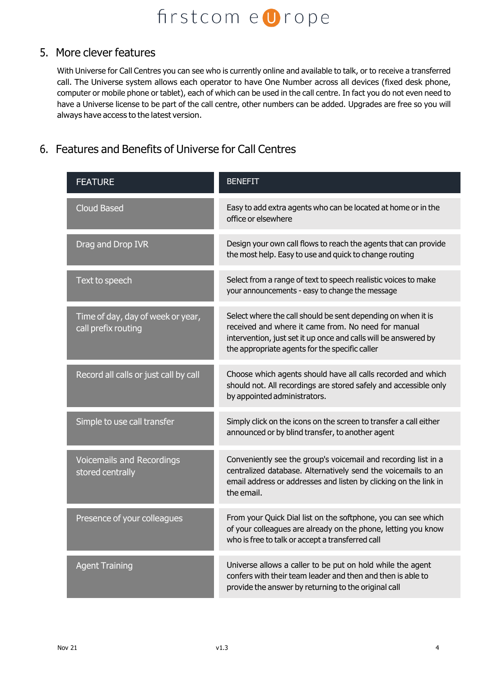#### 5. More clever features

With Universe for Call Centres you can see who is currently online and available to talk, or to receive a transferred call. The Universe system allows each operator to have One Number across all devices (fixed desk phone, computer or mobile phone or tablet), each of which can be used in the call centre. In fact you do not even need to have a Universe license to be part of the call centre, other numbers can be added. Upgrades are free so you will always have access to the latest version.

### 6. Features and Benefits of Universe for Call Centres

| <b>FEATURE</b>                                           | <b>BENEFIT</b>                                                                                                                                                                                                                           |
|----------------------------------------------------------|------------------------------------------------------------------------------------------------------------------------------------------------------------------------------------------------------------------------------------------|
| <b>Cloud Based</b>                                       | Easy to add extra agents who can be located at home or in the<br>office or elsewhere                                                                                                                                                     |
| Drag and Drop IVR                                        | Design your own call flows to reach the agents that can provide<br>the most help. Easy to use and quick to change routing                                                                                                                |
| Text to speech                                           | Select from a range of text to speech realistic voices to make<br>your announcements - easy to change the message                                                                                                                        |
| Time of day, day of week or year,<br>call prefix routing | Select where the call should be sent depending on when it is<br>received and where it came from. No need for manual<br>intervention, just set it up once and calls will be answered by<br>the appropriate agents for the specific caller |
| Record all calls or just call by call                    | Choose which agents should have all calls recorded and which<br>should not. All recordings are stored safely and accessible only<br>by appointed administrators.                                                                         |
| Simple to use call transfer                              | Simply click on the icons on the screen to transfer a call either<br>announced or by blind transfer, to another agent                                                                                                                    |
| <b>Voicemails and Recordings</b><br>stored centrally     | Conveniently see the group's voicemail and recording list in a<br>centralized database. Alternatively send the voicemails to an<br>email address or addresses and listen by clicking on the link in<br>the email.                        |
| Presence of your colleagues                              | From your Quick Dial list on the softphone, you can see which<br>of your colleagues are already on the phone, letting you know<br>who is free to talk or accept a transferred call                                                       |
| <b>Agent Training</b>                                    | Universe allows a caller to be put on hold while the agent<br>confers with their team leader and then and then is able to<br>provide the answer by returning to the original call                                                        |